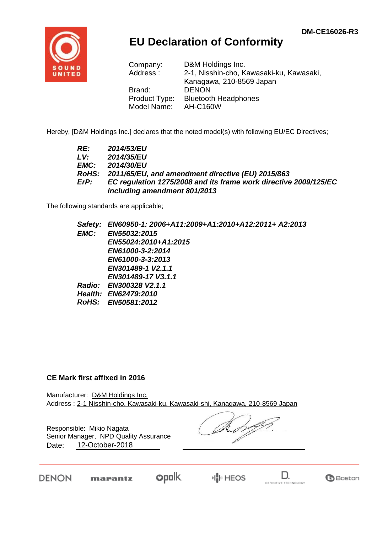

## **EU Declaration of Conformity**

| Company:      | D&M Holdings Inc.                        |
|---------------|------------------------------------------|
| Address:      | 2-1, Nisshin-cho, Kawasaki-ku, Kawasaki, |
|               | Kanagawa, 210-8569 Japan                 |
| Brand:        | <b>DENON</b>                             |
| Product Type: | <b>Bluetooth Headphones</b>              |
| Model Name:   | <b>AH-C160W</b>                          |

Hereby, [D&M Holdings Inc.] declares that the noted model(s) with following EU/EC Directives;

| RE:  | <b>2014/53/EU</b>                                                |
|------|------------------------------------------------------------------|
| LV:  | 2014/35/EU                                                       |
| EMC: | 2014/30/EU                                                       |
|      | RoHS: 2011/65/EU, and amendment directive (EU) 2015/863          |
| ErP: | EC regulation 1275/2008 and its frame work directive 2009/125/EC |
|      | including amendment 801/2013                                     |

The following standards are applicable;

|      | Safety: EN60950-1: 2006+A11:2009+A1:2010+A12:2011+ A2:2013 |
|------|------------------------------------------------------------|
| EMC: | <b>EN55032:2015</b>                                        |
|      | EN55024:2010+A1:2015                                       |
|      | EN61000-3-2:2014                                           |
|      | EN61000-3-3:2013                                           |
|      | EN301489-1 V2.1.1                                          |
|      | EN301489-17 V3.1.1                                         |
|      | Radio: EN300328 V2.1.1                                     |
|      | Health: EN62479:2010                                       |
|      | RoHS: EN50581:2012                                         |
|      |                                                            |

## **CE Mark first affixed in 2016**

Manufacturer: D&M Holdings Inc. Address : 2-1 Nisshin-cho, Kawasaki-ku, Kawasaki-shi, Kanagawa, 210-8569 Japan

Responsible: Mikio Nagata Date: 12-October-2018 Senior Manager, NPD Quality Assurance

DENON

opolk. marantz



D.

**G**Boston